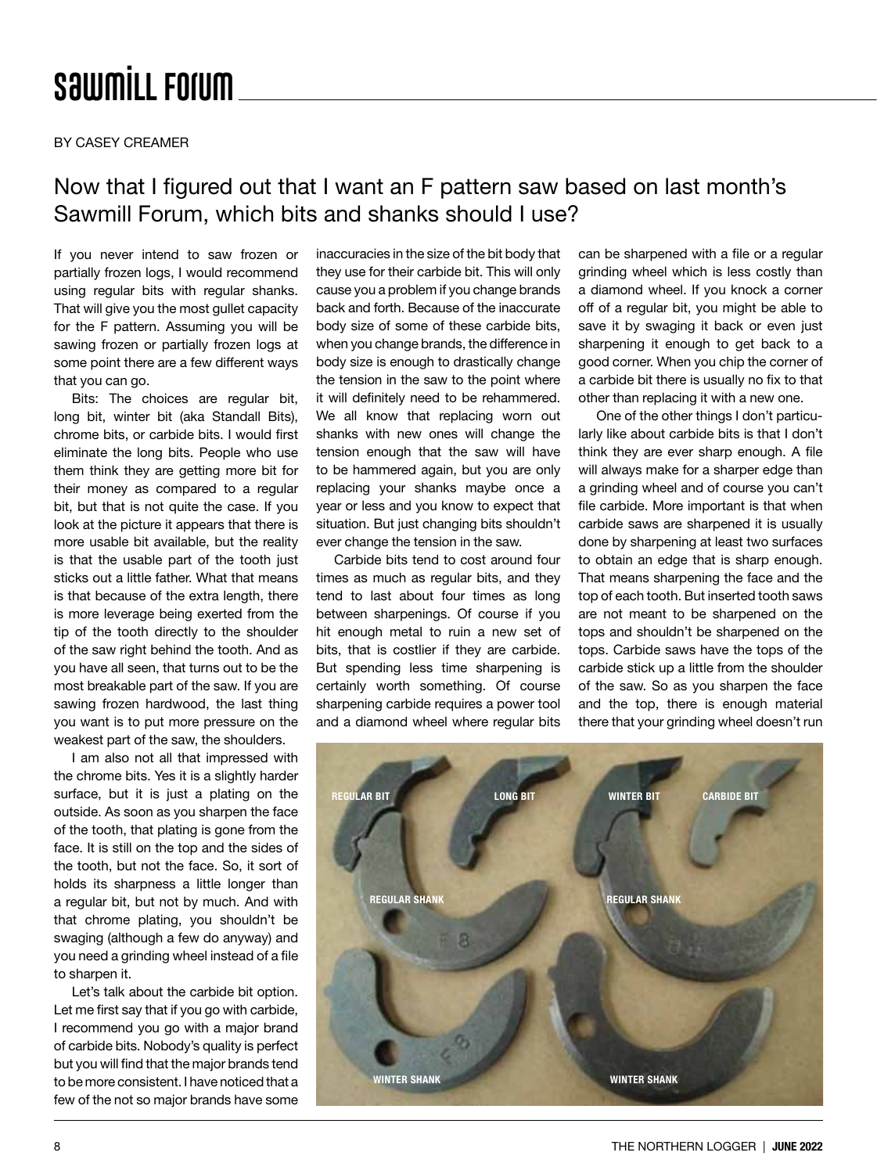## **SawmiLL Forum**

BY CASEY CREAMER

## Now that I figured out that I want an F pattern saw based on last month's Sawmill Forum, which bits and shanks should I use?

If you never intend to saw frozen or partially frozen logs, I would recommend using regular bits with regular shanks. That will give you the most gullet capacity for the F pattern. Assuming you will be sawing frozen or partially frozen logs at some point there are a few different ways that you can go.

Bits: The choices are regular bit, long bit, winter bit (aka Standall Bits), chrome bits, or carbide bits. I would first eliminate the long bits. People who use them think they are getting more bit for their money as compared to a regular bit, but that is not quite the case. If you look at the picture it appears that there is more usable bit available, but the reality is that the usable part of the tooth just sticks out a little father. What that means is that because of the extra length, there is more leverage being exerted from the tip of the tooth directly to the shoulder of the saw right behind the tooth. And as you have all seen, that turns out to be the most breakable part of the saw. If you are sawing frozen hardwood, the last thing you want is to put more pressure on the weakest part of the saw, the shoulders.

I am also not all that impressed with the chrome bits. Yes it is a slightly harder surface, but it is just a plating on the outside. As soon as you sharpen the face of the tooth, that plating is gone from the face. It is still on the top and the sides of the tooth, but not the face. So, it sort of holds its sharpness a little longer than a regular bit, but not by much. And with that chrome plating, you shouldn't be swaging (although a few do anyway) and you need a grinding wheel instead of a file to sharpen it.

Let's talk about the carbide bit option. Let me first say that if you go with carbide, I recommend you go with a major brand of carbide bits. Nobody's quality is perfect but you will find that the major brands tend to be more consistent. I have noticed that a few of the not so major brands have some

inaccuracies in the size of the bit body that they use for their carbide bit. This will only cause you a problem if you change brands back and forth. Because of the inaccurate body size of some of these carbide bits, when you change brands, the difference in body size is enough to drastically change the tension in the saw to the point where it will definitely need to be rehammered. We all know that replacing worn out shanks with new ones will change the tension enough that the saw will have to be hammered again, but you are only replacing your shanks maybe once a year or less and you know to expect that situation. But just changing bits shouldn't ever change the tension in the saw.

Carbide bits tend to cost around four times as much as regular bits, and they tend to last about four times as long between sharpenings. Of course if you hit enough metal to ruin a new set of bits, that is costlier if they are carbide. But spending less time sharpening is certainly worth something. Of course sharpening carbide requires a power tool and a diamond wheel where regular bits can be sharpened with a file or a regular grinding wheel which is less costly than a diamond wheel. If you knock a corner off of a regular bit, you might be able to save it by swaging it back or even just sharpening it enough to get back to a good corner. When you chip the corner of a carbide bit there is usually no fix to that other than replacing it with a new one.

One of the other things I don't particularly like about carbide bits is that I don't think they are ever sharp enough. A file will always make for a sharper edge than a grinding wheel and of course you can't file carbide. More important is that when carbide saws are sharpened it is usually done by sharpening at least two surfaces to obtain an edge that is sharp enough. That means sharpening the face and the top of each tooth. But inserted tooth saws are not meant to be sharpened on the tops and shouldn't be sharpened on the tops. Carbide saws have the tops of the carbide stick up a little from the shoulder of the saw. So as you sharpen the face and the top, there is enough material there that your grinding wheel doesn't run